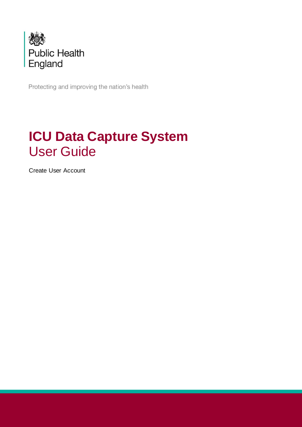

Protecting and improving the nation's health

## **ICU Data Capture System** User Guide

Create User Account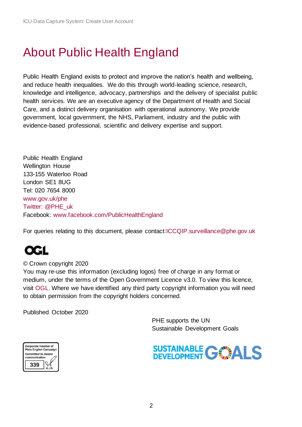## <span id="page-1-0"></span>About Public Health England

Public Health England exists to protect and improve the nation's health and wellbeing, and reduce health inequalities. We do this through world-leading science, research, knowledge and intelligence, advocacy, partnerships and the delivery of specialist public health services. We are an executive agency of the Department of Health and Social Care, and a distinct delivery organisation with operational autonomy. We provide government, local government, the NHS, Parliament, industry and the public with evidence-based professional, scientific and delivery expertise and support.

Public Health England Wellington House 133-155 Waterloo Road London SE1 8UG Tel: 020 7654 8000 [www.gov.uk/phe](http://www.gov.uk/phe) Twitter: [@PHE\\_uk](https://twitter.com/PHE_uk) Facebook: [www.facebook.com/PublicHealthEngland](http://www.facebook.com/PublicHealthEngland)

For queries relating to this document, please contact[:ICCQIP.surveillance@phe.gov.uk](mailto:ICCQIP.surveillance@phe.gov.uk)

## œu

© Crown copyright 2020

You may re-use this information (excluding logos) free of charge in any format or medium, under the terms of the Open Government Licence v3.0. To view this licence, visit [OGL.](https://www.nationalarchives.gov.uk/doc/open-government-licence/version/3/) Where we have identified any third party copyright information you will need to obtain permission from the copyright holders concerned.

Published October 2020

 PHE supports the UN Sustainable Development Goals



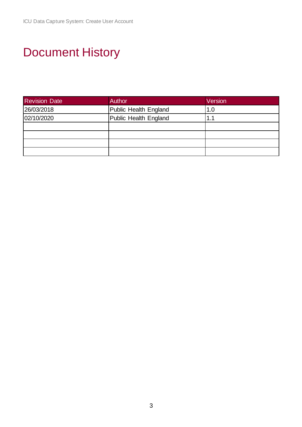# <span id="page-2-0"></span>Document History

| <b>Revision Date</b> | Author                | Version |
|----------------------|-----------------------|---------|
| 26/03/2018           | Public Health England | 1.0     |
| 02/10/2020           | Public Health England | 1.1     |
|                      |                       |         |
|                      |                       |         |
|                      |                       |         |
|                      |                       |         |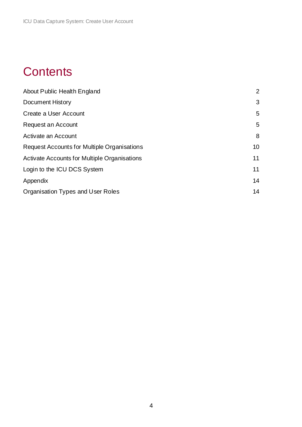## **Contents**

| About Public Health England                  | $\overline{2}$ |
|----------------------------------------------|----------------|
| <b>Document History</b>                      | 3              |
| Create a User Account                        | 5              |
| Request an Account                           | 5              |
| Activate an Account                          | 8              |
| Request Accounts for Multiple Organisations  | 10             |
| Activate Accounts for Multiple Organisations | 11             |
| Login to the ICU DCS System                  | 11             |
| Appendix                                     | 14             |
| Organisation Types and User Roles            | 14             |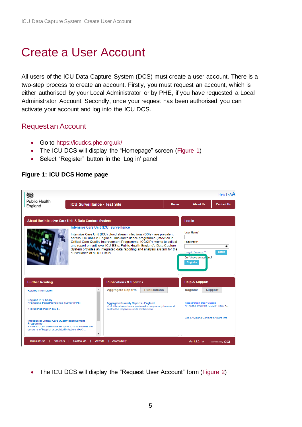## <span id="page-4-0"></span>Create a User Account

All users of the ICU Data Capture System (DCS) must create a user account. There is a two-step process to create an account. Firstly, you must request an account, which is either authorised by your Local Administrator or by PHE, if you have requested a Local Administrator Account. Secondly, once your request has been authorised you can activate your account and log into the ICU DCS.

### <span id="page-4-1"></span>Request an Account

- Go to<https://icudcs.phe.org.uk/>
- The ICU DCS will display the "Homepage" screen [\(Figure 1\)](#page-4-2)
- Select "Register" button in the 'Log in' panel

#### Help | AAA 戀 **Public Health ICU Surveillance - Test Site About Us Contact Us** Hom England About the Intensive Care Unit & Data Capture System Log in **Intensive Care Unit (ICU) Surveillance** User Name<sup>®</sup> Intensive Care Unit (ICU) blood stream infections (BSIs), are prevalent across ICU units in England. This surveillance programme (Infection in Critical Care Quality Improvement Programme; ICCQIP), works to collect<br>and report on unit level ICU-BSIs. Public Health England's Data Capture **Password** System provides an integrated data reporting and analysis system for the é. rgot Password' surveillance of all ICU-BSIs. Don't have an acc **Help & Support Further Reading Publications & Updates** Publications **Related Information Aggregate Reports** Register Support England PPS Study<br>>>England Point Prevalence Survey (PPS) Aggregate Quaterly Reports - England<br>>>Unit level reports are produced on a quarterly basis and<br>sent to the respective units for their info... Registration User Guides<br>>>Please email the ICCQIP inbox <.. It is reported that on any g. See FAQs and Content for more info **Ifection In Critical Care Quality Improvement** Programme<br>
>>The ICCQIP board was set up in 2016 to address the<br>
concerns of hospital-associated Infections (HAI) ... rms of Use | About Us | Contact Us | Website | Accessibility Ver 1.8.0.1.A Powered by CGI

 $\circ$ 

### <span id="page-4-2"></span>**Figure 1: ICU DCS Home page**

• The ICU DCS will display the "Request User Account" form [\(Figure 2\)](#page-5-0)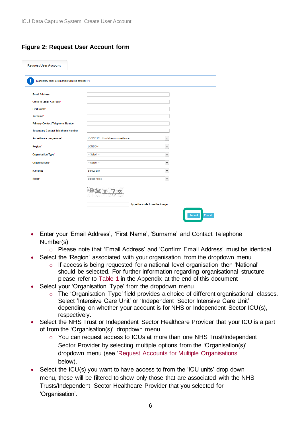#### <span id="page-5-0"></span>**Figure 2: Request User Account form**

| <b>Request User Account</b>                       |                                            |                          |               |
|---------------------------------------------------|--------------------------------------------|--------------------------|---------------|
| Mandatory fields are marked with red asterisk (*) |                                            |                          |               |
| Email Address*                                    |                                            |                          |               |
| <b>Confirm Email Address*</b>                     |                                            |                          |               |
| <b>First Name*</b>                                |                                            |                          |               |
| Surname*                                          |                                            |                          |               |
| Primary Contact Telephone Number*                 |                                            |                          |               |
| <b>Secondary Contact Telephone Number</b>         |                                            |                          |               |
| Surveillance programme*                           | <b>ICCQIP ICU bloodstream surveillance</b> | ۰,                       |               |
| Region*                                           | <b>LONDON</b>                              | $\overline{\phantom{0}}$ |               |
| Organisation Type*                                | $-$ Select $-$                             | ÷                        |               |
| Organisations*                                    | -- Select --                               | ۰,                       |               |
| <b>ICU units</b>                                  | <b>Select Site</b>                         | ÷                        |               |
| Roles*                                            | <b>Select Roles</b>                        | $\overline{\phantom{a}}$ |               |
|                                                   | Type the code from the image               | <b>Submit</b>            | <b>Cancel</b> |

- Enter your 'Email Address', 'First Name', 'Surname' and Contact Telephone Number(s)
	- o Please note that 'Email Address' and 'Confirm Email Address' must be identical
- Select the 'Region' associated with your organisation from the dropdown menu
	- o If access is being requested for a national level organisation then 'National' should be selected. For further information regarding organisational structure please refer to [Table 1](#page-14-0) in the Appendix at the end of this document
- Select your 'Organisation Type' from the dropdown menu
	- o The 'Organisation Type' field provides a choice of different organisational classes. Select 'Intensive Care Unit' or 'Independent Sector Intensive Care Unit' depending on whether your account is for NHS or Independent Sector ICU(s), respectively.
- Select the NHS Trust or Independent Sector Healthcare Provider that your ICU is a part of from the 'Organisation(s)' dropdown menu
	- o You can request access to ICUs at more than one NHS Trust/Independent Sector Provider by selecting multiple options from the 'Organisation(s)' dropdown menu (see ['Request Accounts for Multiple Organisations'](#page-8-0)  below).
- Select the ICU(s) you want to have access to from the 'ICU units' drop down menu, these will be filtered to show only those that are associated with the NHS Trusts/Independent Sector Healthcare Provider that you selected for 'Organisation'.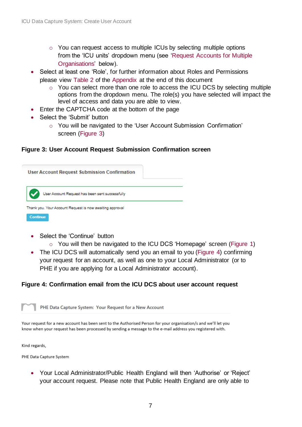- o You can request access to multiple ICUs by selecting multiple options from the 'ICU units' dropdown menu (see ['Request Accounts for Multiple](#page-8-0)  [Organisations'](#page-8-0) below).
- Select at least one 'Role', for further information about Roles and Permissions please view [Table 2](#page-15-0) of the [Appendix](#page-13-0) at the end of this document
	- o You can select more than one role to access the ICU DCS by selecting multiple options from the dropdown menu. The role(s) you have selected will impact the level of access and data you are able to view.
- Enter the CAPTCHA code at the bottom of the page
- Select the 'Submit' button
	- o You will be navigated to the 'User Account Submission Confirmation' screen [\(Figure 3\)](#page-6-0)

#### <span id="page-6-0"></span>**Figure 3: User Account Request Submission Confirmation screen**



- Select the 'Continue' button
	- o You will then be navigated to the ICU DCS 'Homepage' screen [\(Figure 1\)](#page-4-2)
- The ICU DCS will automatically send you an email to you [\(Figure 4\)](#page-6-1) confirming your request for an account, as well as one to your Local Administrator (or to PHE if you are applying for a Local Administrator account).

#### <span id="page-6-1"></span>**Figure 4: Confirmation email from the ICU DCS about user account request**



Your request for a new account has been sent to the Authorised Person for your organisation/s and we'll let you know when your request has been processed by sending a message to the e-mail address you registered with.

Kind regards,

PHE Data Capture System

• Your Local Administrator/Public Health England will then 'Authorise' or 'Reject' your account request. Please note that Public Health England are only able to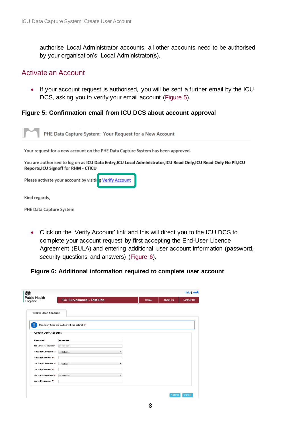authorise Local Administrator accounts, all other accounts need to be authorised by your organisation's Local Administrator(s).

### <span id="page-7-0"></span>Activate an Account

• If your account request is authorised, you will be sent a further email by the ICU DCS, asking you to verify your email account [\(Figure 5\)](#page-7-1).

#### <span id="page-7-1"></span>**Figure 5: Confirmation email from ICU DCS about account approval**

PHE Data Capture System: Your Request for a New Account Your request for a new account on the PHE Data Capture System has been approved. You are authorised to log on as ICU Data Entry, ICU Local Administrator, ICU Read Only, ICU Read Only No PII, ICU Reports, ICU Signoff for RHM - CTICU Please activate your account by visiting Verify Account Kind regards, PHE Data Capture System

• Click on the 'Verify Account' link and this will direct you to the ICU DCS to complete your account request by first accepting the End-User Licence Agreement (EULA) and entering additional user account information (password, security questions and answers) [\(Figure 6\)](#page-7-2).

#### <span id="page-7-2"></span>**Figure 6: Additional information required to complete user account**

| England                    | <b>ICU Surveillance - Test Site</b>               | Home | <b>About Us</b> | <b>Contact Us</b> |
|----------------------------|---------------------------------------------------|------|-----------------|-------------------|
| <b>Create User Account</b> |                                                   |      |                 |                   |
|                            | Mandatory fields are marked with red asterisk (*) |      |                 |                   |
| <b>Create User Account</b> |                                                   |      |                 |                   |
| Password*                  |                                                   |      |                 |                   |
| Re-Enter Password*         |                                                   |      |                 |                   |
| Security Question 1*       | $-$ Select $-$                                    |      |                 |                   |
| Security Answer 1*         |                                                   |      |                 |                   |
| Security Question 2*       | $-$ Select $-$<br>٠                               |      |                 |                   |
| Security Answer 2*         |                                                   |      |                 |                   |
| Security Question 3*       | $-$ Select $-$<br>٠                               |      |                 |                   |
| Security Answer 3*         |                                                   |      |                 |                   |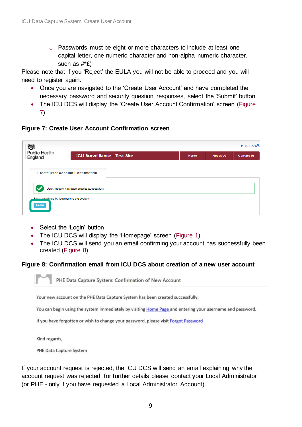o Passwords must be eight or more characters to include at least one capital letter, one numeric character and non-alpha numeric character, such as #\*£)

Please note that if you 'Reject' the EULA you will not be able to proceed and you will need to register again.

- Once you are navigated to the 'Create User Account' and have completed the necessary password and security question responses, select the 'Submit' button
- The ICU DCS will display the 'Create User Account Confirmation' screen (Figure [7\)](#page-8-1)

#### <span id="page-8-1"></span>**Figure 7: Create User Account Confirmation screen**

| 戀                                                                                              |                                            |             |                 | Help   AAA        |
|------------------------------------------------------------------------------------------------|--------------------------------------------|-------------|-----------------|-------------------|
| <b>Public Health</b><br>England                                                                | <b>ICU Surveillance - Test Site</b>        | <b>Home</b> | <b>About Us</b> | <b>Contact Us</b> |
| <b>Create User Account Confirmation</b><br>Please continue by logging into the system<br>Login | User Account has been created successfully |             |                 |                   |

- Select the 'Login' button
- The ICU DCS will display the 'Homepage' screen [\(Figure 1\)](#page-4-2)
- The ICU DCS will send you an email confirming your account has successfully been created [\(Figure 8\)](#page-8-2)

#### <span id="page-8-2"></span>**Figure 8: Confirmation email from ICU DCS about creation of a new user account**



Your new account on the PHE Data Capture System has been created successfully.

You can begin using the system immediately by visiting Home Page and entering your username and password.

If you have forgotten or wish to change your password, please visit Forgot Password

Kind regards,

PHE Data Capture System

<span id="page-8-0"></span>If your account request is rejected, the ICU DCS will send an email explaining why the account request was rejected, for further details please contact your Local Administrator (or PHE - only if you have requested a Local Administrator Account).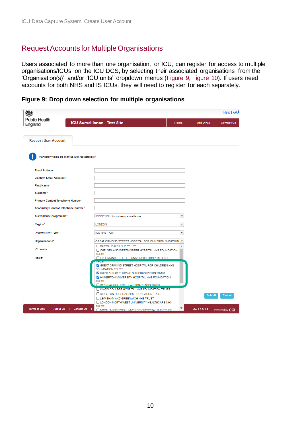### <span id="page-9-0"></span>Request Accounts for Multiple Organisations

Users associated to more than one organisation, or ICU, can register for access to multiple organisations/ICUs on the ICU DCS, by selecting their associated organisations from the 'Organisation(s)' and/or 'ICU units' dropdown menus [\(Figure 9,](#page-9-1) [Figure 10\)](#page-10-2). If users need accounts for both NHS and IS ICUs, they will need to register for each separately.

<span id="page-9-1"></span>**Figure 9: Drop down selection for multiple organisations**

| 戀                                                 |                                                                                                                                                                                            |                          |                 | Heip AA           |
|---------------------------------------------------|--------------------------------------------------------------------------------------------------------------------------------------------------------------------------------------------|--------------------------|-----------------|-------------------|
| <b>Public Health</b><br>England                   | <b>ICU Surveillance - Test Site</b>                                                                                                                                                        | <b>Home</b>              | <b>About Us</b> | <b>Contact Us</b> |
| <b>Request User Account</b>                       |                                                                                                                                                                                            |                          |                 |                   |
| Mandatory fields are marked with red asterisk (*) |                                                                                                                                                                                            |                          |                 |                   |
| Email Address*                                    |                                                                                                                                                                                            |                          |                 |                   |
| Confirm Email Address*                            |                                                                                                                                                                                            |                          |                 |                   |
| <b>First Name*</b>                                |                                                                                                                                                                                            |                          |                 |                   |
| Surname*                                          |                                                                                                                                                                                            |                          |                 |                   |
| Primary Contact Telephone Number*                 |                                                                                                                                                                                            |                          |                 |                   |
| <b>Secondary Contact Telephone Number</b>         |                                                                                                                                                                                            |                          |                 |                   |
| Surveillance programme*                           | <b>ICCQIP ICU bloodstream surveillance</b>                                                                                                                                                 | ٠                        |                 |                   |
| Region*                                           | <b>LONDON</b>                                                                                                                                                                              | $\overline{\phantom{a}}$ |                 |                   |
| Organisation Type*                                | <b>ICU NHS Trust</b>                                                                                                                                                                       | ٠                        |                 |                   |
| Organisations*                                    | GREAT ORMOND STREET HOSPITAL FOR CHILDREN NHS FOUN   *                                                                                                                                     |                          |                 |                   |
| <b>ICU units</b>                                  | <b>BARTS HEALTH NHS TRUST</b><br>CHELSEA AND WESTMINSTER HOSPITAL NHS FOUNDATION<br><b>TRUST</b>                                                                                           |                          |                 |                   |
| Roles*                                            | EPSOM AND ST HELIER UNIVERSITY HOSPITALS NHS                                                                                                                                               |                          |                 |                   |
|                                                   | C GREAT ORMOND STREET HOSPITAL FOR CHILDREN NHS<br><b>FOUNDATION TRUST</b><br>C GUY'S AND ST THOMAS' NHS FOUNDATION TRUST<br>V HOMERTON UNIVERSITY HOSPITAL NHS FOUNDATION<br><b>TRUST</b> |                          |                 |                   |
|                                                   | O IMPERIAL COLLEGE HEALTHCARE NHS TRUST                                                                                                                                                    |                          |                 |                   |
|                                                   | <b>ELKING'S COLLEGE HOSPITAL NHS FOUNDATION TRUST</b><br>KINGSTON HOSPITAL NHS FOUNDATION TRUST<br><b>LEWISHAM AND GREENWICH NHS TRUST</b>                                                 |                          | <b>Submit</b>   | <b>Cancel</b>     |
| Terms of Use  <br>About Us   Contact Us           | LONDON NORTH WEST UNIVERSITY HEALTHCARE NHS<br><b>TRUST</b><br><b>NORTH MIDDLESEX LINIVERSITY HOSPITAL NHS TRUST</b>                                                                       | ▼                        | Ver 1.8.0.1.A   | Powered by CGI    |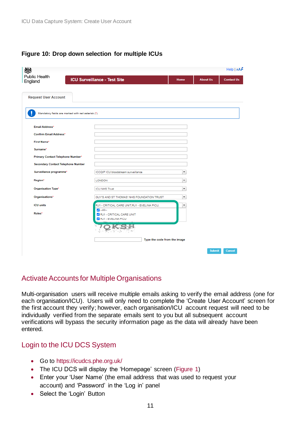#### <span id="page-10-2"></span>**Figure 10: Drop down selection for multiple ICUs**

| <b>Public Health</b>                              |                                                                                 |                          |                 | Help   $AA$       |
|---------------------------------------------------|---------------------------------------------------------------------------------|--------------------------|-----------------|-------------------|
| England                                           | <b>ICU Surveillance - Test Site</b>                                             | <b>Home</b>              | <b>About Us</b> | <b>Contact Us</b> |
|                                                   |                                                                                 |                          |                 |                   |
| <b>Request User Account</b>                       |                                                                                 |                          |                 |                   |
| Mandatory fields are marked with red asterisk (*) |                                                                                 |                          |                 |                   |
| Email Address*                                    |                                                                                 |                          |                 |                   |
| <b>Confirm Email Address*</b>                     |                                                                                 |                          |                 |                   |
| First Name*                                       |                                                                                 |                          |                 |                   |
| Surname*                                          |                                                                                 |                          |                 |                   |
| Primary Contact Telephone Number*                 |                                                                                 |                          |                 |                   |
| <b>Secondary Contact Telephone Number</b>         |                                                                                 |                          |                 |                   |
| Surveillance programme*                           | ICCQIP ICU bloodstream surveillance                                             | $\overline{\phantom{a}}$ |                 |                   |
| Region*                                           | <b>LONDON</b>                                                                   | $\overline{\phantom{a}}$ |                 |                   |
| Organisation Type*                                | <b>ICU NHS Trust</b>                                                            | $\overline{\phantom{a}}$ |                 |                   |
| Organisations*                                    | GUY'S AND ST THOMAS' NHS FOUNDATION TRUST                                       | ٠                        |                 |                   |
| <b>ICU units</b>                                  | RJ1 - CRITICAL CARE UNIT,RJ1 - EVELINA PICU,                                    | ۳                        |                 |                   |
| Roles*                                            | $\blacktriangleright$ --All--<br>RJ1 - CRITICAL CARE UNIT<br>RJ1 - EVELINA PICU |                          |                 |                   |
|                                                   |                                                                                 |                          |                 |                   |
|                                                   | Type the code from the image                                                    |                          |                 |                   |
|                                                   |                                                                                 |                          | <b>Submit</b>   | <b>Cancel</b>     |

## <span id="page-10-0"></span>Activate Accounts for Multiple Organisations

Multi-organisation users will receive multiple emails asking to verify the email address (one for each organisation/ICU). Users will only need to complete the 'Create User Account' screen for the first account they verify; however, each organisation/ICU account request will need to be individually verified from the separate emails sent to you but all subsequent account verifications will bypass the security information page as the data will already have been entered.

### <span id="page-10-1"></span>Login to the ICU DCS System

- Go to<https://icudcs.phe.org.uk/>
- The ICU DCS will display the 'Homepage' screen [\(Figure 1\)](#page-4-2)
- Enter your 'User Name' (the email address that was used to request your account) and 'Password' in the 'Log in' panel
- Select the 'Login' Button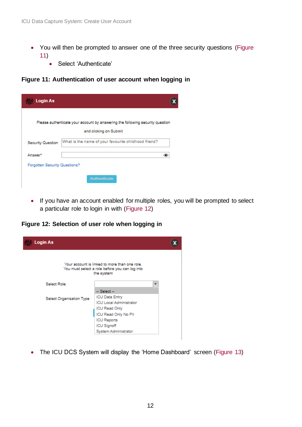- You will then be prompted to answer one of the three security questions (Figure [11\)](#page-11-0)
	- Select 'Authenticate'

<span id="page-11-0"></span>**Figure 11: Authentication of user account when logging in**

|                   | Please authenticate your account by answering the following security question |
|-------------------|-------------------------------------------------------------------------------|
|                   | and clicking on Submit                                                        |
| Security Question | What is the name of your favourite childhood friend?                          |
| Answer*           | ⊛                                                                             |

• If you have an account enabled for multiple roles, you will be prompted to select a particular role to login in with [\(Figure 12\)](#page-11-1)

<span id="page-11-1"></span>**Figure 12: Selection of user role when logging in**

| <b>Login As</b>          |                                                                                                               |  |
|--------------------------|---------------------------------------------------------------------------------------------------------------|--|
|                          | Your account is linked to more than one role.<br>You must select a role before you can log into<br>the system |  |
| Select Role              | $\overline{\phantom{a}}$                                                                                      |  |
|                          | $-$ Select $-$                                                                                                |  |
| Select Organisation Type | <b>ICU Data Entry</b>                                                                                         |  |
|                          | <b>ICU Local Administrator</b>                                                                                |  |
|                          | <b>ICU Read Only</b>                                                                                          |  |
|                          | ICU Read Only No PII                                                                                          |  |
|                          | <b>ICU Reports</b>                                                                                            |  |
|                          | <b>ICU Signoff</b>                                                                                            |  |
|                          | System Administrator                                                                                          |  |

• The ICU DCS System will display the 'Home Dashboard' screen [\(Figure 13\)](#page-12-0)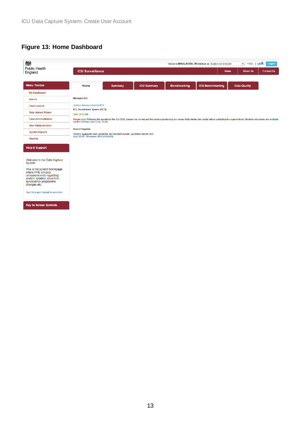### <span id="page-12-0"></span>**Figure 13: Home Dashboard**

| <b>ICU Surveillance</b>                                                         |                                                                                                                                                                                                                |                     | Home                    | Welcome MIHALKOVA, Miroslava as System Administrator<br>$\overline{\phantom{a}}$<br><b>About Us</b> | Help $ $ $AAA$<br>Logout<br><b>Contact Us</b> |
|---------------------------------------------------------------------------------|----------------------------------------------------------------------------------------------------------------------------------------------------------------------------------------------------------------|---------------------|-------------------------|-----------------------------------------------------------------------------------------------------|-----------------------------------------------|
| <b>Summary</b>                                                                  | <b>ICU Summary</b>                                                                                                                                                                                             | <b>Benchmarking</b> | <b>ICU Benchmarking</b> | <b>Data Quality</b>                                                                                 |                                               |
|                                                                                 |                                                                                                                                                                                                                |                     |                         |                                                                                                     |                                               |
|                                                                                 |                                                                                                                                                                                                                |                     |                         |                                                                                                     |                                               |
| <b>System Announcements-ICU</b>                                                 |                                                                                                                                                                                                                |                     |                         |                                                                                                     |                                               |
| ICU Surveillance System (DCS)                                                   |                                                                                                                                                                                                                |                     |                         |                                                                                                     |                                               |
|                                                                                 | Please note: Following the updates to the ICU DCS, please may we request that users experiencing any issues firstly delete their cache before contacting the support team. Detailed instructions are available |                     |                         |                                                                                                     |                                               |
| via the Deleting Cache User Guide                                               |                                                                                                                                                                                                                |                     |                         |                                                                                                     |                                               |
| Generic Aggregate adult, paediatric and neonatal reports - published March 2020 |                                                                                                                                                                                                                |                     |                         |                                                                                                     |                                               |
| April 2018 - December 2019 ( Q9-Q15)                                            |                                                                                                                                                                                                                |                     |                         |                                                                                                     |                                               |
|                                                                                 |                                                                                                                                                                                                                |                     |                         |                                                                                                     |                                               |
|                                                                                 |                                                                                                                                                                                                                |                     |                         |                                                                                                     |                                               |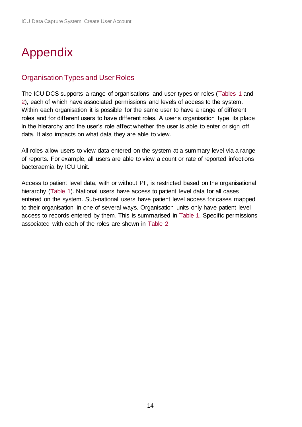## <span id="page-13-0"></span>Appendix

### <span id="page-13-1"></span>Organisation Types and User Roles

The ICU DCS supports a range of organisations and user types or roles [\(Tables 1](#page-14-0) and [2\)](#page-15-0), each of which have associated permissions and levels of access to the system. Within each organisation it is possible for the same user to have a range of different roles and for different users to have different roles. A user's organisation type, its place in the hierarchy and the user's role affect whether the user is able to enter or sign off data. It also impacts on what data they are able to view.

All roles allow users to view data entered on the system at a summary level via a range of reports. For example, all users are able to view a count or rate of reported infections bacteraemia by ICU Unit.

Access to patient level data, with or without PII, is restricted based on the organisational hierarchy [\(Table 1\)](#page-14-0). National users have access to patient level data for all cases entered on the system. Sub-national users have patient level access for cases mapped to their organisation in one of several ways. Organisation units only have patient level access to records entered by them. This is summarised in [Table 1.](#page-14-0) Specific permissions associated with each of the roles are shown in [Table 2.](#page-15-0)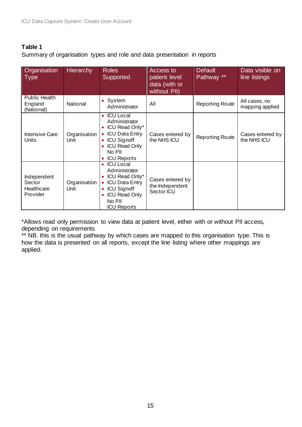#### <span id="page-14-0"></span>**Table 1**

Summary of organisation types and role and data presentation in reports

| Organisation<br><b>Type</b>                     | <b>Hierarchy</b>     | <b>Roles</b><br>Supported                                                                                                                                                                                | Access to<br>patient level<br>data (with or<br>without PII) | <b>Default</b><br>Pathway ** | Data visible on<br>line listings |
|-------------------------------------------------|----------------------|----------------------------------------------------------------------------------------------------------------------------------------------------------------------------------------------------------|-------------------------------------------------------------|------------------------------|----------------------------------|
| <b>Public Health</b><br>England<br>(National)   | National             | System<br>$\bullet$<br>Administrator                                                                                                                                                                     | All                                                         | <b>Reporting Route</b>       | All cases, no<br>mapping applied |
| Intensive Care<br>Units                         | Organisation<br>Unit | <b>ICU Local</b><br>$\bullet$<br>Administrator<br><b>ICU Read Only*</b><br><b>ICU Data Entry</b><br>$\bullet$<br><b>ICU Signoff</b><br>$\bullet$<br><b>ICU Read Only</b><br>No PII<br><b>ICU Reports</b> | Cases entered by<br>the NHS ICU                             | <b>Reporting Route</b>       | Cases entered by<br>the NHS ICU  |
| Independent<br>Sector<br>Healthcare<br>Provider | Organisation<br>Unit | <b>ICU Local</b><br>Administrator<br>ICU Read Only*<br><b>ICU Data Entry</b><br>$\bullet$<br><b>ICU Signoff</b><br>$\bullet$<br><b>ICU Read Only</b><br>No PII<br><b>ICU Reports</b>                     | Cases entered by<br>the Independent<br>Sector ICU           |                              |                                  |

\*Allows read only permission to view data at patient level, either with or without PII access, depending on requirements

\*\* NB. this is the usual pathway by which cases are mapped to this organisation type. This is how the data is presented on all reports, except the line listing where other mappings are applied.